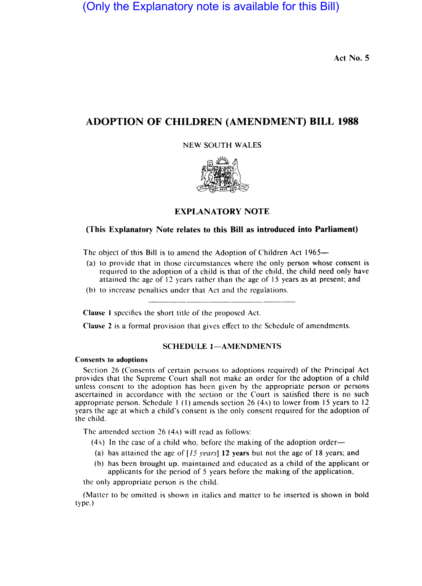(Only the Explanatory note is available for this Bill)

Act No. 5

# ADOPTION OF CHILDREN (AMENDMENT) BILL 1988

NEW SOUTH WALES



# EXPLANATORY NOTE

# (This Explanatory Note relates to this Bill as introduced into Parliament)

The object of this Bill is to amend the Adoption of Children Act 1965-

- (a) to providc that in those circumstanccs where the only person whose consent is requircd to the adoption of a child is that of the child, thc child need only have attained the age of 12 years rather than thc age of 15 years as at present; and
- $(b)$  to increase penaltics under that Act and the regulations.

Clause 1 spccifies the short titlc of thc proposcd Act.

Clause 2 is a formal provision that gives cffect to the Schedulc of amendmcnts.

#### SCHEDULE 1-AMENDMENTS

### Consents to adoptions

Section 26 (Conscnts of ccrtain persons to adoptions rcquircd) of the Principal Act provides that the Supreme Court shall not make an order for the adoption of a child unless consent to the adoption has been given by the appropriate person or persons ascertaincd in accordance with thc section or the Court is satisfied there is no such appropriate person. Schedule 1 (1) amends section 26 (4A) to lower from 15 years to 12 years the agc at which a child's consent is thc only consent rcquircd for the adoption of the child.

The amcnded section 26 (4A) will read as follows:

- $(4)$  In the case of a child who, before the making of the adoption order-
- (a) has attained the age of  $[15 \text{ years}]$  12 years but not the age of 18 years; and
- (b) has bccn brought uP. maintaincd and cducatcd as a child of the applicant or applicants for the period of 5 years before the making of the application,

thc only appropriatc person is the child.

(Mattcr to be omitted is shown in italics and matter to be inserted is shown in bold type.)